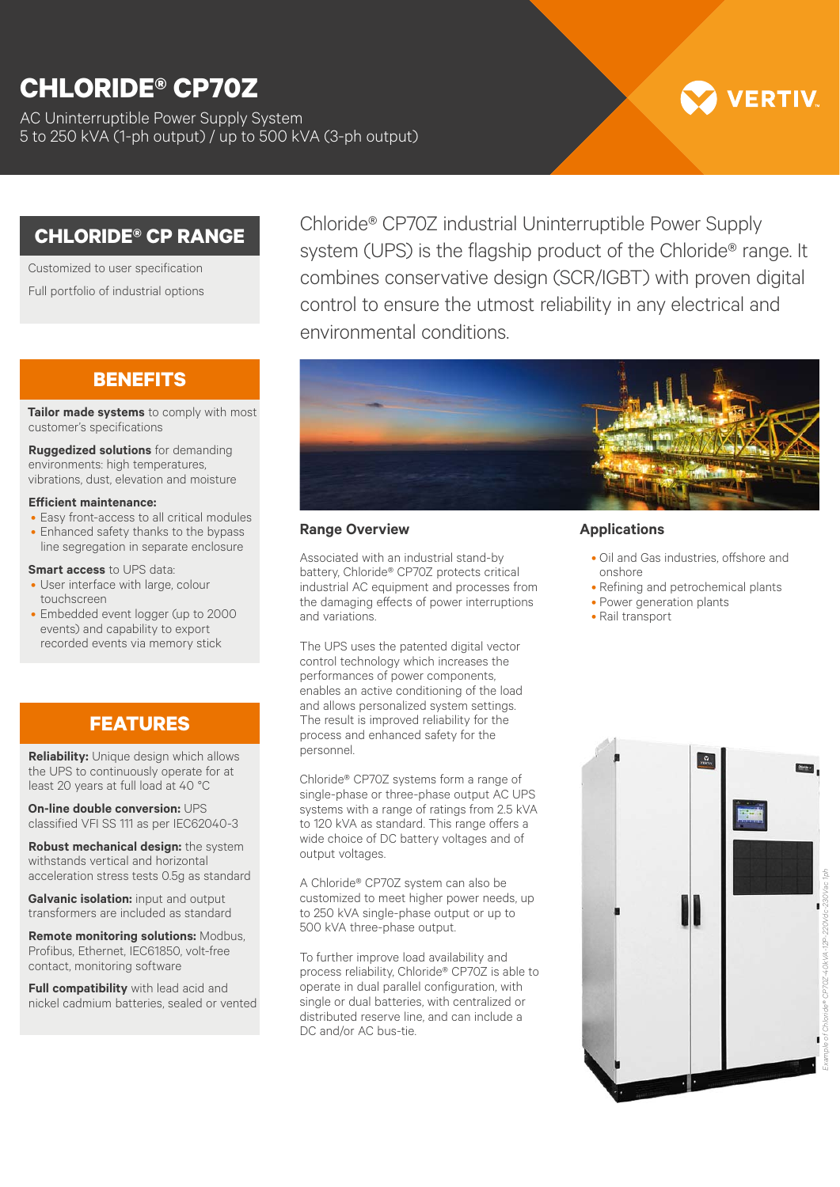# **CHLORIDE® CP70Z**

AC Uninterruptible Power Supply System 5 to 250 kVA (1-ph output) / up to 500 kVA (3-ph output)

# **/ERTIV**

## **CHLORIDE® CP RANGE**

Customized to user specification Full portfolio of industrial options

### **BENEFITS**

**Tailor made systems** to comply with most customer's specifications

**Ruggedized solutions** for demanding environments: high temperatures, vibrations, dust, elevation and moisture

#### **Efficient maintenance:**

- Easy front-access to all critical modules
- Enhanced safety thanks to the bypass line segregation in separate enclosure

#### **Smart access** to UPS data:

- User interface with large, colour touchscreen
- Embedded event logger (up to 2000 events) and capability to export recorded events via memory stick

## **FEATURES**

**Reliability:** Unique design which allows the UPS to continuously operate for at least 20 years at full load at 40 °C

**On-line double conversion:** UPS classified VFI SS 111 as per IEC62040-3

**Robust mechanical design:** the system withstands vertical and horizontal acceleration stress tests 0.5g as standard

**Galvanic isolation:** input and output transformers are included as standard

**Remote monitoring solutions:** Modbus, Profibus, Ethernet, IEC61850, volt-free contact, monitoring software

**Full compatibility** with lead acid and nickel cadmium batteries, sealed or vented

Chloride® CP70Z industrial Uninterruptible Power Supply system (UPS) is the flagship product of the Chloride<sup>®</sup> range. It combines conservative design (SCR/IGBT) with proven digital control to ensure the utmost reliability in any electrical and environmental conditions.



#### **Range Overview**

Associated with an industrial stand-by battery, Chloride® CP70Z protects critical industrial AC equipment and processes from the damaging effects of power interruptions and variations.

The UPS uses the patented digital vector control technology which increases the performances of power components, enables an active conditioning of the load and allows personalized system settings. The result is improved reliability for the process and enhanced safety for the personnel.

Chloride® CP70Z systems form a range of single-phase or three-phase output AC UPS systems with a range of ratings from 2.5 kVA to 120 kVA as standard. This range offers a wide choice of DC battery voltages and of output voltages.

A Chloride® CP70Z system can also be customized to meet higher power needs, up to 250 kVA single-phase output or up to 500 kVA three-phase output.

To further improve load availability and process reliability, Chloride® CP70Z is able to operate in dual parallel configuration, with single or dual batteries, with centralized or distributed reserve line, and can include a DC and/or AC bus-tie.

#### **Applications**

- Oil and Gas industries, offshore and onshore
- Refining and petrochemical plants
- Power generation plants
- Rail transport